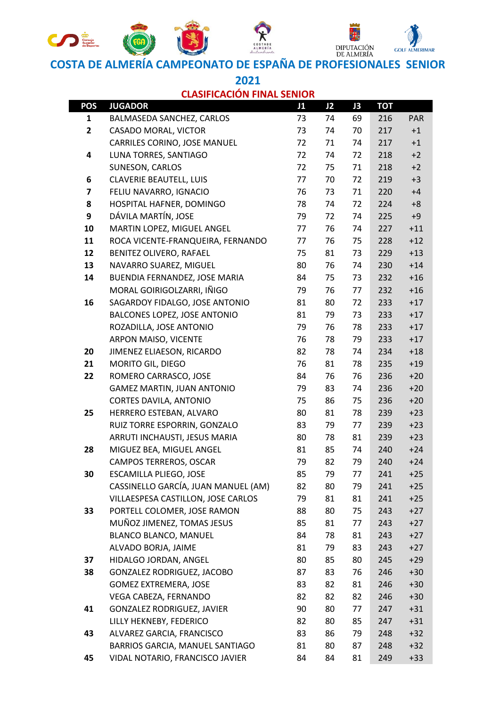

**COSTA DE ALMERÍA CAMPEONATO DE ESPAÑA DE PROFESIONALES SENIOR** 

**2021 CLASIFICACIÓN FINAL SENIOR**

| POS          | <b>JUGADOR</b>                      | J1 | J2 | J <sub>3</sub> | <b>TOT</b> |            |
|--------------|-------------------------------------|----|----|----------------|------------|------------|
| 1            | BALMASEDA SANCHEZ, CARLOS           | 73 | 74 | 69             | 216        | <b>PAR</b> |
| $\mathbf{2}$ | CASADO MORAL, VICTOR                | 73 | 74 | 70             | 217        | $+1$       |
|              | CARRILES CORINO, JOSE MANUEL        | 72 | 71 | 74             | 217        | $+1$       |
| 4            | LUNA TORRES, SANTIAGO               | 72 | 74 | 72             | 218        | $+2$       |
|              | SUNESON, CARLOS                     | 72 | 75 | 71             | 218        | $+2$       |
| 6            | CLAVERIE BEAUTELL, LUIS             | 77 | 70 | 72             | 219        | $+3$       |
| 7            | FELIU NAVARRO, IGNACIO              | 76 | 73 | 71             | 220        | $+4$       |
| 8            | HOSPITAL HAFNER, DOMINGO            | 78 | 74 | 72             | 224        | $+8$       |
| 9            | DÁVILA MARTÍN, JOSE                 | 79 | 72 | 74             | 225        | $+9$       |
| 10           | MARTIN LOPEZ, MIGUEL ANGEL          | 77 | 76 | 74             | 227        | $+11$      |
| 11           | ROCA VICENTE-FRANQUEIRA, FERNANDO   | 77 | 76 | 75             | 228        | $+12$      |
| 12           | BENITEZ OLIVERO, RAFAEL             | 75 | 81 | 73             | 229        | $+13$      |
| 13           | NAVARRO SUAREZ, MIGUEL              | 80 | 76 | 74             | 230        | $+14$      |
| 14           | BUENDIA FERNANDEZ, JOSE MARIA       | 84 | 75 | 73             | 232        | $+16$      |
|              | MORAL GOIRIGOLZARRI, IÑIGO          | 79 | 76 | 77             | 232        | $+16$      |
| 16           | SAGARDOY FIDALGO, JOSE ANTONIO      | 81 | 80 | 72             | 233        | $+17$      |
|              | BALCONES LOPEZ, JOSE ANTONIO        | 81 | 79 | 73             | 233        | $+17$      |
|              | ROZADILLA, JOSE ANTONIO             | 79 | 76 | 78             | 233        | $+17$      |
|              | ARPON MAISO, VICENTE                | 76 | 78 | 79             | 233        | $+17$      |
| 20           | JIMENEZ ELIAESON, RICARDO           | 82 | 78 | 74             | 234        | $+18$      |
| 21           | MORITO GIL, DIEGO                   | 76 | 81 | 78             | 235        | $+19$      |
| 22           | ROMERO CARRASCO, JOSE               | 84 | 76 | 76             | 236        | $+20$      |
|              | <b>GAMEZ MARTIN, JUAN ANTONIO</b>   | 79 | 83 | 74             | 236        | $+20$      |
|              | CORTES DAVILA, ANTONIO              | 75 | 86 | 75             | 236        | $+20$      |
| 25           | HERRERO ESTEBAN, ALVARO             | 80 | 81 | 78             | 239        | $+23$      |
|              | RUIZ TORRE ESPORRIN, GONZALO        | 83 | 79 | 77             | 239        | $+23$      |
|              | ARRUTI INCHAUSTI, JESUS MARIA       | 80 | 78 | 81             | 239        | $+23$      |
| 28           | MIGUEZ BEA, MIGUEL ANGEL            | 81 | 85 | 74             | 240        | $+24$      |
|              | CAMPOS TERREROS, OSCAR              | 79 | 82 | 79             | 240        | $+24$      |
| 30           | ESCAMILLA PLIEGO, JOSE              | 85 | 79 | 77             | 241        | $+25$      |
|              | CASSINELLO GARCÍA, JUAN MANUEL (AM) | 82 | 80 | 79             | 241        | $+25$      |
|              | VILLAESPESA CASTILLON, JOSE CARLOS  | 79 | 81 | 81             | 241        | $+25$      |
| 33           | PORTELL COLOMER, JOSE RAMON         | 88 | 80 | 75             | 243        | $+27$      |
|              | MUÑOZ JIMENEZ, TOMAS JESUS          | 85 | 81 | 77             | 243        | $+27$      |
|              | BLANCO BLANCO, MANUEL               | 84 | 78 | 81             | 243        | $+27$      |
|              | ALVADO BORJA, JAIME                 | 81 | 79 | 83             | 243        | $+27$      |
| 37           | HIDALGO JORDAN, ANGEL               | 80 | 85 | 80             | 245        | $+29$      |
| 38           | GONZALEZ RODRIGUEZ, JACOBO          | 87 | 83 | 76             | 246        | $+30$      |
|              | GOMEZ EXTREMERA, JOSE               | 83 | 82 | 81             | 246        | $+30$      |
|              | VEGA CABEZA, FERNANDO               | 82 | 82 | 82             | 246        | $+30$      |
| 41           | GONZALEZ RODRIGUEZ, JAVIER          | 90 | 80 | 77             | 247        | $+31$      |
|              | LILLY HEKNEBY, FEDERICO             | 82 | 80 | 85             | 247        | $+31$      |
| 43           | ALVAREZ GARCIA, FRANCISCO           | 83 | 86 | 79             | 248        | $+32$      |
|              | BARRIOS GARCIA, MANUEL SANTIAGO     | 81 | 80 | 87             | 248        | $+32$      |
| 45           | VIDAL NOTARIO, FRANCISCO JAVIER     | 84 | 84 | 81             | 249        | $+33$      |